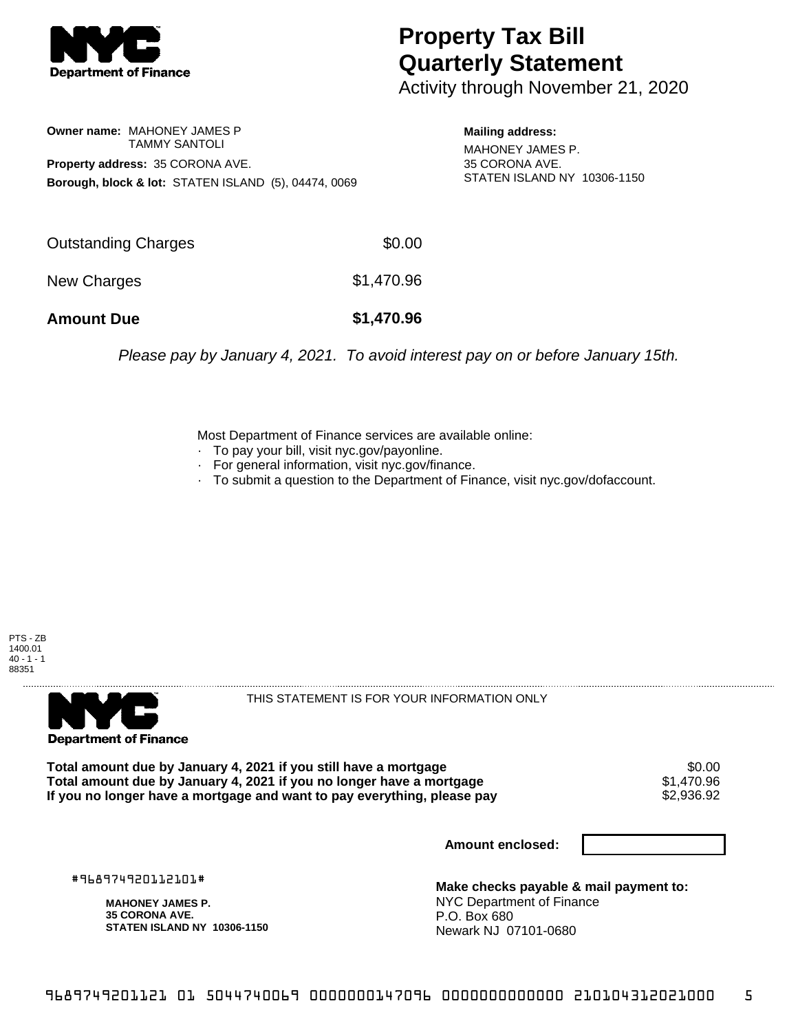

## **Property Tax Bill Quarterly Statement**

Activity through November 21, 2020

**Owner name:** MAHONEY JAMES P TAMMY SANTOLI **Property address:** 35 CORONA AVE. **Borough, block & lot:** STATEN ISLAND (5), 04474, 0069

**Mailing address:**

MAHONEY JAMES P. 35 CORONA AVE. STATEN ISLAND NY 10306-1150

| <b>Amount Due</b>   | \$1,470.96 |
|---------------------|------------|
| New Charges         | \$1,470.96 |
| Outstanding Charges | \$0.00     |

Please pay by January 4, 2021. To avoid interest pay on or before January 15th.

Most Department of Finance services are available online:

- · To pay your bill, visit nyc.gov/payonline.
- For general information, visit nyc.gov/finance.
- · To submit a question to the Department of Finance, visit nyc.gov/dofaccount.





THIS STATEMENT IS FOR YOUR INFORMATION ONLY

Total amount due by January 4, 2021 if you still have a mortgage \$0.00<br>Total amount due by January 4, 2021 if you no longer have a mortgage \$1.470.96 **Total amount due by January 4, 2021 if you no longer have a mortgage**  $$1,470.96$ **<br>If you no longer have a mortgage and want to pay everything, please pay <b>show that have use** \$2,936.92 If you no longer have a mortgage and want to pay everything, please pay

**Amount enclosed:**

#968974920112101#

**MAHONEY JAMES P. 35 CORONA AVE. STATEN ISLAND NY 10306-1150**

**Make checks payable & mail payment to:** NYC Department of Finance P.O. Box 680 Newark NJ 07101-0680